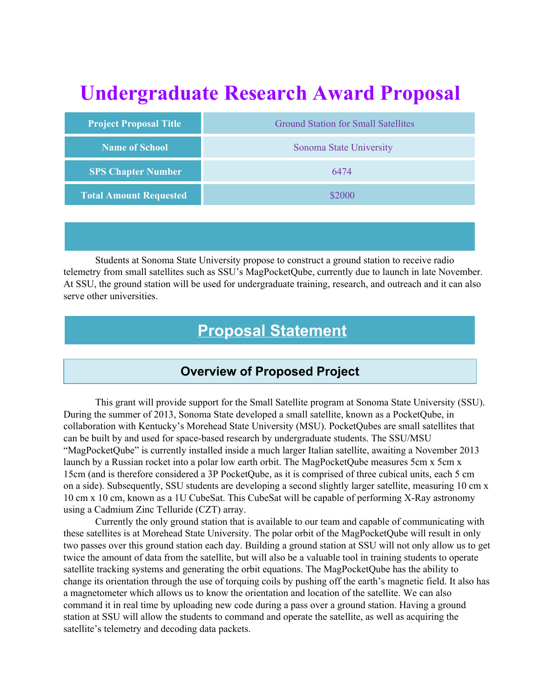# **Undergraduate Research Award Proposal**

| <b>Project Proposal Title</b> | <b>Ground Station for Small Satellites</b> |  |  |  |  |  |
|-------------------------------|--------------------------------------------|--|--|--|--|--|
| Name of School                | Sonoma State University                    |  |  |  |  |  |
| <b>SPS Chapter Number</b>     | 6474                                       |  |  |  |  |  |
| <b>Total Amount Requested</b> | \$2000                                     |  |  |  |  |  |

Students at Sonoma State University propose to construct a ground station to receive radio telemetry from small satellites such as SSU's MagPocketQube, currently due to launch in late November. At SSU, the ground station will be used for undergraduate training, research, and outreach and it can also serve other universities.

### **Proposal Statement**

#### **Overview of Proposed Project**

This grant will provide support for the Small Satellite program at Sonoma State University (SSU). During the summer of 2013, Sonoma State developed a small satellite, known as a PocketQube, in collaboration with Kentucky's Morehead State University (MSU). PocketQubes are small satellites that can be built by and used for space-based research by undergraduate students. The SSU/MSU "MagPocketQube" is currently installed inside a much larger Italian satellite, awaiting a November 2013 launch by a Russian rocket into a polar low earth orbit. The MagPocketQube measures 5cm x 5cm x 15cm (and is therefore considered a 3P PocketQube, as it is comprised of three cubical units, each 5 cm on a side). Subsequently, SSU students are developing a second slightly larger satellite, measuring 10 cm x 10 cm x 10 cm, known as a 1U CubeSat. This CubeSat will be capable of performing X-Ray astronomy using a Cadmium Zinc Telluride (CZT) array.

Currently the only ground station that is available to our team and capable of communicating with these satellites is at Morehead State University. The polar orbit of the MagPocketQube will result in only two passes over this ground station each day. Building a ground station at SSU will not only allow us to get twice the amount of data from the satellite, but will also be a valuable tool in training students to operate satellite tracking systems and generating the orbit equations. The MagPocketQube has the ability to change its orientation through the use of torquing coils by pushing off the earth's magnetic field. It also has a magnetometer which allows us to know the orientation and location of the satellite. We can also command it in real time by uploading new code during a pass over a ground station. Having a ground station at SSU will allow the students to command and operate the satellite, as well as acquiring the satellite's telemetry and decoding data packets.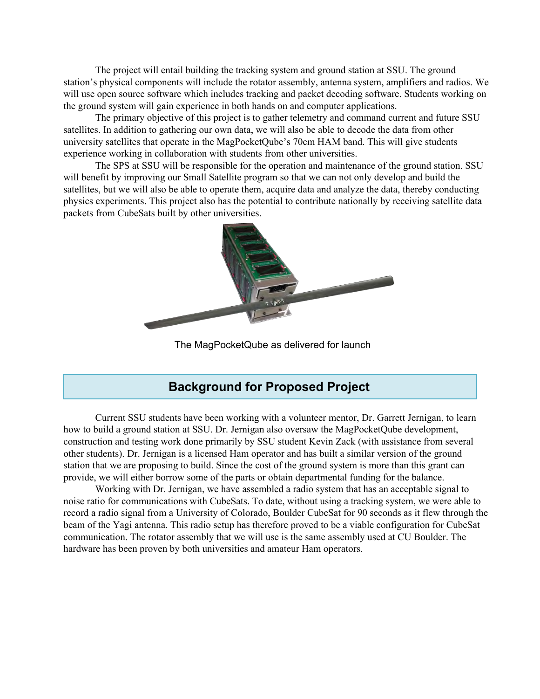The project will entail building the tracking system and ground station at SSU. The ground station's physical components will include the rotator assembly, antenna system, amplifiers and radios. We will use open source software which includes tracking and packet decoding software. Students working on the ground system will gain experience in both hands on and computer applications.

The primary objective of this project is to gather telemetry and command current and future SSU satellites. In addition to gathering our own data, we will also be able to decode the data from other university satellites that operate in the MagPocketQube's 70cm HAM band. This will give students experience working in collaboration with students from other universities.

The SPS at SSU will be responsible for the operation and maintenance of the ground station. SSU will benefit by improving our Small Satellite program so that we can not only develop and build the satellites, but we will also be able to operate them, acquire data and analyze the data, thereby conducting physics experiments. This project also has the potential to contribute nationally by receiving satellite data packets from CubeSats built by other universities.



The MagPocketQube as delivered for launch

#### **Background for Proposed Project**

Current SSU students have been working with a volunteer mentor, Dr. Garrett Jernigan, to learn how to build a ground station at SSU. Dr. Jernigan also oversaw the MagPocketQube development, construction and testing work done primarily by SSU student Kevin Zack (with assistance from several other students). Dr. Jernigan is a licensed Ham operator and has built a similar version of the ground station that we are proposing to build. Since the cost of the ground system is more than this grant can provide, we will either borrow some of the parts or obtain departmental funding for the balance.

Working with Dr. Jernigan, we have assembled a radio system that has an acceptable signal to noise ratio for communications with CubeSats. To date, without using a tracking system, we were able to record a radio signal from a University of Colorado, Boulder CubeSat for 90 seconds as it flew through the beam of the Yagi antenna. This radio setup has therefore proved to be a viable configuration for CubeSat communication. The rotator assembly that we will use is the same assembly used at CU Boulder. The hardware has been proven by both universities and amateur Ham operators.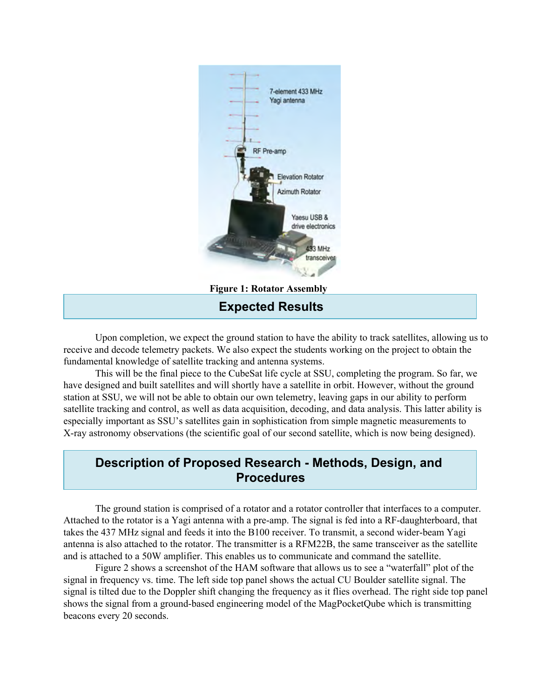

**Expected Results**

Upon completion, we expect the ground station to have the ability to track satellites, allowing us to receive and decode telemetry packets. We also expect the students working on the project to obtain the fundamental knowledge of satellite tracking and antenna systems.

This will be the final piece to the CubeSat life cycle at SSU, completing the program. So far, we have designed and built satellites and will shortly have a satellite in orbit. However, without the ground station at SSU, we will not be able to obtain our own telemetry, leaving gaps in our ability to perform satellite tracking and control, as well as data acquisition, decoding, and data analysis. This latter ability is especially important as SSU's satellites gain in sophistication from simple magnetic measurements to X-ray astronomy observations (the scientific goal of our second satellite, which is now being designed).

#### **Description of Proposed Research - Methods, Design, and Procedures**

The ground station is comprised of a rotator and a rotator controller that interfaces to a computer. Attached to the rotator is a Yagi antenna with a pre-amp. The signal is fed into a RF-daughterboard, that takes the 437 MHz signal and feeds it into the B100 receiver. To transmit, a second wider-beam Yagi antenna is also attached to the rotator. The transmitter is a RFM22B, the same transceiver as the satellite and is attached to a 50W amplifier. This enables us to communicate and command the satellite.

Figure 2 shows a screenshot of the HAM software that allows us to see a "waterfall" plot of the signal in frequency vs. time. The left side top panel shows the actual CU Boulder satellite signal. The signal is tilted due to the Doppler shift changing the frequency as it flies overhead. The right side top panel shows the signal from a ground-based engineering model of the MagPocketQube which is transmitting beacons every 20 seconds.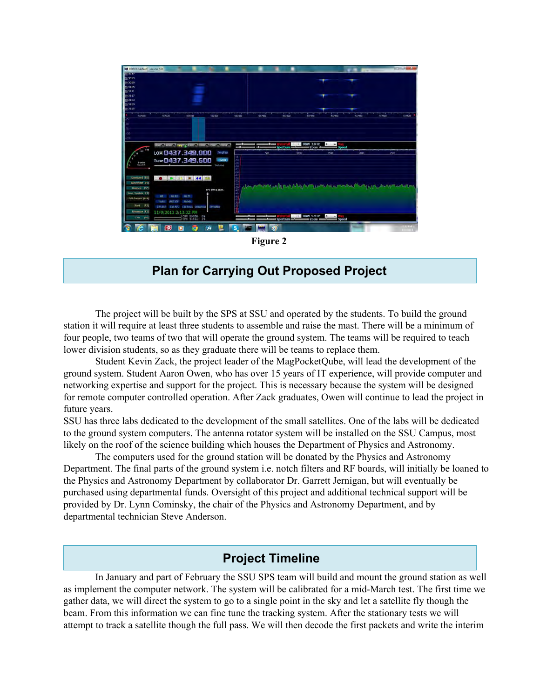

**Figure 2**

#### **Plan for Carrying Out Proposed Project**

The project will be built by the SPS at SSU and operated by the students. To build the ground station it will require at least three students to assemble and raise the mast. There will be a minimum of four people, two teams of two that will operate the ground system. The teams will be required to teach lower division students, so as they graduate there will be teams to replace them.

Student Kevin Zack, the project leader of the MagPocketQube, will lead the development of the ground system. Student Aaron Owen, who has over 15 years of IT experience, will provide computer and networking expertise and support for the project. This is necessary because the system will be designed for remote computer controlled operation. After Zack graduates, Owen will continue to lead the project in future years.

SSU has three labs dedicated to the development of the small satellites. One of the labs will be dedicated to the ground system computers. The antenna rotator system will be installed on the SSU Campus, most likely on the roof of the science building which houses the Department of Physics and Astronomy.

The computers used for the ground station will be donated by the Physics and Astronomy Department. The final parts of the ground system i.e. notch filters and RF boards, will initially be loaned to the Physics and Astronomy Department by collaborator Dr. Garrett Jernigan, but will eventually be purchased using departmental funds. Oversight of this project and additional technical support will be provided by Dr. Lynn Cominsky, the chair of the Physics and Astronomy Department, and by departmental technician Steve Anderson.

#### **Project Timeline**

In January and part of February the SSU SPS team will build and mount the ground station as well as implement the computer network. The system will be calibrated for a mid-March test. The first time we gather data, we will direct the system to go to a single point in the sky and let a satellite fly though the beam. From this information we can fine tune the tracking system. After the stationary tests we will attempt to track a satellite though the full pass. We will then decode the first packets and write the interim